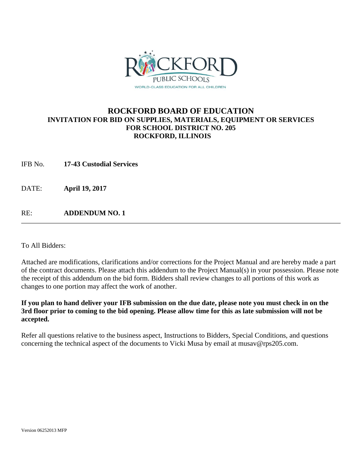

# **ROCKFORD BOARD OF EDUCATION INVITATION FOR BID ON SUPPLIES, MATERIALS, EQUIPMENT OR SERVICES FOR SCHOOL DISTRICT NO. 205 ROCKFORD, ILLINOIS**

IFB No. **17-43 Custodial Services**

DATE: **April 19, 2017**

RE: **ADDENDUM NO. 1**

To All Bidders:

Attached are modifications, clarifications and/or corrections for the Project Manual and are hereby made a part of the contract documents. Please attach this addendum to the Project Manual(s) in your possession. Please note the receipt of this addendum on the bid form. Bidders shall review changes to all portions of this work as changes to one portion may affect the work of another.

## **If you plan to hand deliver your IFB submission on the due date, please note you must check in on the 3rd floor prior to coming to the bid opening. Please allow time for this as late submission will not be accepted.**

Refer all questions relative to the business aspect, Instructions to Bidders, Special Conditions, and questions concerning the technical aspect of the documents to Vicki Musa by email at musav@rps205.com.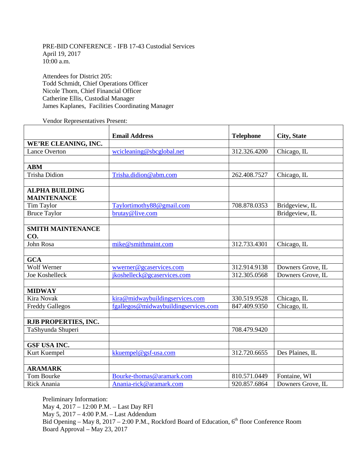PRE-BID CONFERENCE - IFB 17-43 Custodial Services April 19, 2017 10:00 a.m.

Attendees for District 205: Todd Schmidt, Chief Operations Officer Nicole Thorn, Chief Financial Officer Catherine Ellis, Custodial Manager James Kaplanes, Facilities Coordinating Manager

Vendor Representatives Present:

|                          | <b>Email Address</b>                 | <b>Telephone</b> | <b>City, State</b> |
|--------------------------|--------------------------------------|------------------|--------------------|
| WE'RE CLEANING, INC.     |                                      |                  |                    |
| <b>Lance Overton</b>     | wcicleaning@sbcglobal.net            | 312.326.4200     | Chicago, IL        |
|                          |                                      |                  |                    |
| <b>ABM</b>               |                                      |                  |                    |
| <b>Trisha Didion</b>     | Trisha.didion@abm.com                | 262.408.7527     | Chicago, IL        |
|                          |                                      |                  |                    |
| <b>ALPHA BUILDING</b>    |                                      |                  |                    |
| <b>MAINTENANCE</b>       |                                      |                  |                    |
| <b>Tim Taylor</b>        | Taylortimothy88@gmail.com            | 708.878.0353     | Bridgeview, IL     |
| <b>Bruce Taylor</b>      | brutay@live.com                      |                  | Bridgeview, IL     |
|                          |                                      |                  |                    |
| <b>SMITH MAINTENANCE</b> |                                      |                  |                    |
| CO.                      |                                      |                  |                    |
| John Rosa                | mike@smithmaint.com                  | 312.733.4301     | Chicago, IL        |
|                          |                                      |                  |                    |
| <b>GCA</b>               |                                      |                  |                    |
| <b>Wolf Werner</b>       | wwerner@gcaservices.com              | 312.914.9138     | Downers Grove, IL  |
| Joe Koshelleck           | jkoshelleck@gcaservices.com          | 312.305.0568     | Downers Grove, IL  |
|                          |                                      |                  |                    |
| <b>MIDWAY</b>            |                                      |                  |                    |
| <b>Kira Novak</b>        | kira@midwaybuildingservices.com      | 330.519.9528     | Chicago, IL        |
| <b>Freddy Gallegos</b>   | fgallegos@midwaybuildingservices.com | 847.409.9350     | Chicago, IL        |
|                          |                                      |                  |                    |
| RJB PROPERTIES, INC.     |                                      |                  |                    |
| TaShyunda Shuperi        |                                      | 708.479.9420     |                    |
|                          |                                      |                  |                    |
| <b>GSF USA INC.</b>      |                                      |                  |                    |
| Kurt Kuempel             | kkuempel@gsf-usa.com                 | 312.720.6655     | Des Plaines, IL    |
|                          |                                      |                  |                    |
| <b>ARAMARK</b>           |                                      |                  |                    |
| Tom Bourke               | Bourke-thomas@aramark.com            | 810.571.0449     | Fontaine, WI       |
| Rick Anania              | Anania-rick@aramark.com              | 920.857.6864     | Downers Grove, IL  |

Preliminary Information: May 4, 2017 – 12:00 P.M. – Last Day RFI May 5, 2017 – 4:00 P.M. – Last Addendum Bid Opening – May 8, 2017 – 2:00 P.M., Rockford Board of Education,  $6<sup>th</sup>$  floor Conference Room Board Approval – May 23, 2017